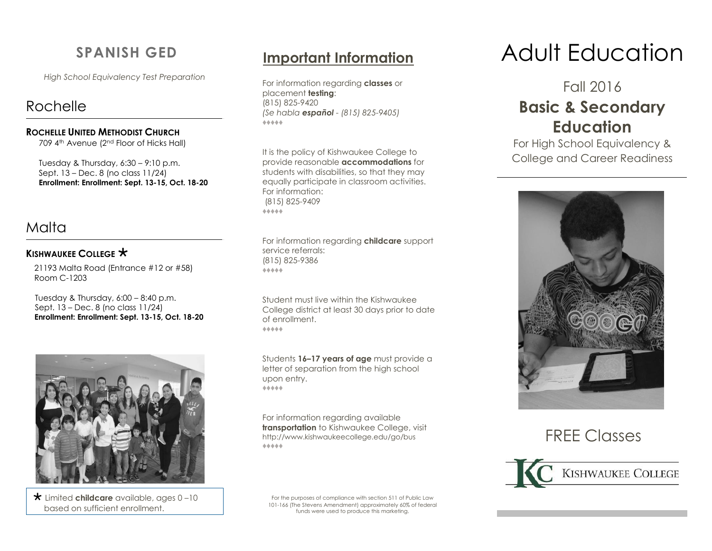# **SPANISH GED**

*High School Equivalency Test Preparation*

# Rochelle

#### **ROCHELLE UNITED METHODIST CHURCH**

709 4th Avenue (2nd Floor of Hicks Hall)

Tuesday & Thursday,  $6:30 - 9:10$  p.m. Sept. 13 – Dec. 8 (no class 11/24) **Enrollment: Enrollment: Sept. 13-15, Oct. 18-20**

# Malta

### **KISHWAUKEE COLLEGE**  $\star$

21193 Malta Road (Entrance #12 or #58) Room C-1203

Tuesday & Thursday,  $6:00 - 8:40$  p.m. Sept. 13 – Dec. 8 (no class 11/24)  **Enrollment: Enrollment: Sept. 13-15, Oct. 18-20**



 Limited **childcare** available, ages 0 –10 based on sufficient enrollment.

For information regarding **classes** or placement **testing**: (815) 825-9420 *(Se habla español - (815) 825-9405)* ♦♦♦♦♦

It is the policy of Kishwaukee College to provide reasonable **accommodations** for students with disabilities, so that they may equally participate in classroom activities. For information: (815) 825-9409 ♦♦♦♦♦

For information regarding **childcare** support service referrals: (815) 825-9386 ♦♦♦♦♦

Student must live within the Kishwaukee College district at least 30 days prior to date of enrollment. ♦♦♦♦♦

Students **16–17 years of age** must provide a letter of separation from the high school upon entry. ♦♦♦♦♦

For information regarding available **transportation** to Kishwaukee College, visit [http://www.kishwaukeecollege.edu/go/bus](https://webmail.kishwaukeecollege.edu/owa/redir.aspx?C=dUB0q2J4-EGtcKFbxuB2rTZG3Jm-19EIS52eDqBK1pZk1fhmSUGJEaJY3acwrTNp0r0B6ezF8bc.&URL=http%3a%2f%2fwww.kishwaukeecollege.edu%2fgo%2fbus) ♦♦♦♦♦

For the purposes of compliance with section 511 of Public Law 101-166 (The Stevens Amendment) approximately 60% of federal funds were used to produce this marketing.

# **Important Information** Adult Education

Fall 2016

# **Basic & Secondary Education**

For High School Equivalency & College and Career Readiness



# FREE Classes